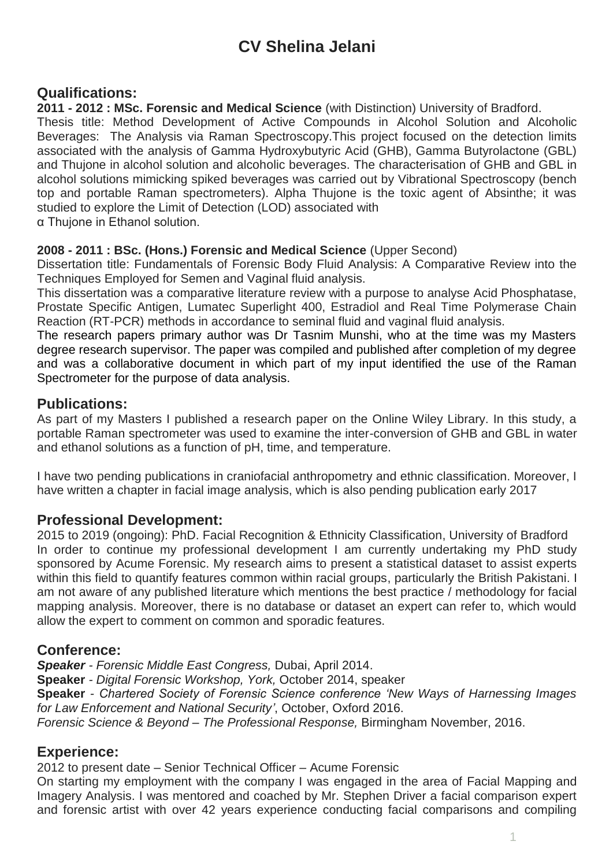# **CV Shelina Jelani**

# **Qualifications:**

**2011 - 2012 : MSc. Forensic and Medical Science** (with Distinction) University of Bradford.

Thesis title: Method Development of Active Compounds in Alcohol Solution and Alcoholic Beverages: The Analysis via Raman Spectroscopy.This project focused on the detection limits associated with the analysis of Gamma Hydroxybutyric Acid (GHB), Gamma Butyrolactone (GBL) and Thujone in alcohol solution and alcoholic beverages. The characterisation of GHB and GBL in alcohol solutions mimicking spiked beverages was carried out by Vibrational Spectroscopy (bench top and portable Raman spectrometers). Alpha Thujone is the toxic agent of Absinthe; it was studied to explore the Limit of Detection (LOD) associated with

α Thujone in Ethanol solution.

#### **2008 - 2011 : BSc. (Hons.) Forensic and Medical Science** (Upper Second)

Dissertation title: Fundamentals of Forensic Body Fluid Analysis: A Comparative Review into the Techniques Employed for Semen and Vaginal fluid analysis.

This dissertation was a comparative literature review with a purpose to analyse Acid Phosphatase, Prostate Specific Antigen, Lumatec Superlight 400, Estradiol and Real Time Polymerase Chain Reaction (RT-PCR) methods in accordance to seminal fluid and vaginal fluid analysis.

The research papers primary author was Dr Tasnim Munshi, who at the time was my Masters degree research supervisor. The paper was compiled and published after completion of my degree and was a collaborative document in which part of my input identified the use of the Raman Spectrometer for the purpose of data analysis.

# **Publications:**

As part of my Masters I published a research paper on the Online Wiley Library. In this study, a portable Raman spectrometer was used to examine the inter-conversion of GHB and GBL in water and ethanol solutions as a function of pH, time, and temperature.

I have two pending publications in craniofacial anthropometry and ethnic classification. Moreover, I have written a chapter in facial image analysis, which is also pending publication early 2017

# **Professional Development:**

2015 to 2019 (ongoing): PhD. Facial Recognition & Ethnicity Classification, University of Bradford In order to continue my professional development I am currently undertaking my PhD study sponsored by Acume Forensic. My research aims to present a statistical dataset to assist experts within this field to quantify features common within racial groups, particularly the British Pakistani. I am not aware of any published literature which mentions the best practice / methodology for facial mapping analysis. Moreover, there is no database or dataset an expert can refer to, which would allow the expert to comment on common and sporadic features.

#### **Conference:**

*Speaker - Forensic Middle East Congress,* Dubai, April 2014. **Speaker** *- Digital Forensic Workshop, York,* October 2014, speaker **Speaker** *- Chartered Society of Forensic Science conference 'New Ways of Harnessing Images for Law Enforcement and National Security'*, October, Oxford 2016. *Forensic Science & Beyond – The Professional Response,* Birmingham November, 2016.

# **Experience:**

2012 to present date – Senior Technical Officer – Acume Forensic

On starting my employment with the company I was engaged in the area of Facial Mapping and Imagery Analysis. I was mentored and coached by Mr. Stephen Driver a facial comparison expert and forensic artist with over 42 years experience conducting facial comparisons and compiling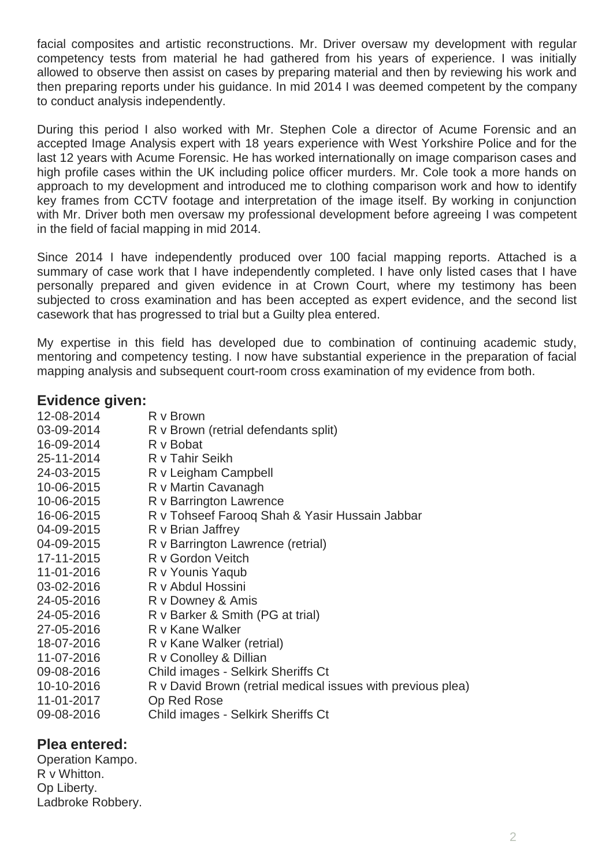facial composites and artistic reconstructions. Mr. Driver oversaw my development with regular competency tests from material he had gathered from his years of experience. I was initially allowed to observe then assist on cases by preparing material and then by reviewing his work and then preparing reports under his guidance. In mid 2014 I was deemed competent by the company to conduct analysis independently.

During this period I also worked with Mr. Stephen Cole a director of Acume Forensic and an accepted Image Analysis expert with 18 years experience with West Yorkshire Police and for the last 12 years with Acume Forensic. He has worked internationally on image comparison cases and high profile cases within the UK including police officer murders. Mr. Cole took a more hands on approach to my development and introduced me to clothing comparison work and how to identify key frames from CCTV footage and interpretation of the image itself. By working in conjunction with Mr. Driver both men oversaw my professional development before agreeing I was competent in the field of facial mapping in mid 2014.

Since 2014 I have independently produced over 100 facial mapping reports. Attached is a summary of case work that I have independently completed. I have only listed cases that I have personally prepared and given evidence in at Crown Court, where my testimony has been subjected to cross examination and has been accepted as expert evidence, and the second list casework that has progressed to trial but a Guilty plea entered.

My expertise in this field has developed due to combination of continuing academic study, mentoring and competency testing. I now have substantial experience in the preparation of facial mapping analysis and subsequent court-room cross examination of my evidence from both.

### **Evidence given:**

| 12-08-2014 | R v Brown                                                   |
|------------|-------------------------------------------------------------|
| 03-09-2014 | R v Brown (retrial defendants split)                        |
| 16-09-2014 | R v Bobat                                                   |
| 25-11-2014 | R v Tahir Seikh                                             |
| 24-03-2015 | R v Leigham Campbell                                        |
| 10-06-2015 | R v Martin Cavanagh                                         |
| 10-06-2015 | R v Barrington Lawrence                                     |
| 16-06-2015 | R v Tohseef Farooq Shah & Yasir Hussain Jabbar              |
| 04-09-2015 | R v Brian Jaffrey                                           |
| 04-09-2015 | R v Barrington Lawrence (retrial)                           |
| 17-11-2015 | R v Gordon Veitch                                           |
| 11-01-2016 | R v Younis Yaqub                                            |
| 03-02-2016 | R v Abdul Hossini                                           |
| 24-05-2016 | R v Downey & Amis                                           |
| 24-05-2016 | R v Barker & Smith (PG at trial)                            |
| 27-05-2016 | R v Kane Walker                                             |
| 18-07-2016 | R v Kane Walker (retrial)                                   |
| 11-07-2016 | R v Conolley & Dillian                                      |
| 09-08-2016 | Child images - Selkirk Sheriffs Ct                          |
| 10-10-2016 | R v David Brown (retrial medical issues with previous plea) |
| 11-01-2017 | Op Red Rose                                                 |
| 09-08-2016 | Child images - Selkirk Sheriffs Ct                          |
|            |                                                             |

# **Plea entered:**

Operation Kampo. R v Whitton. Op Liberty. Ladbroke Robbery.